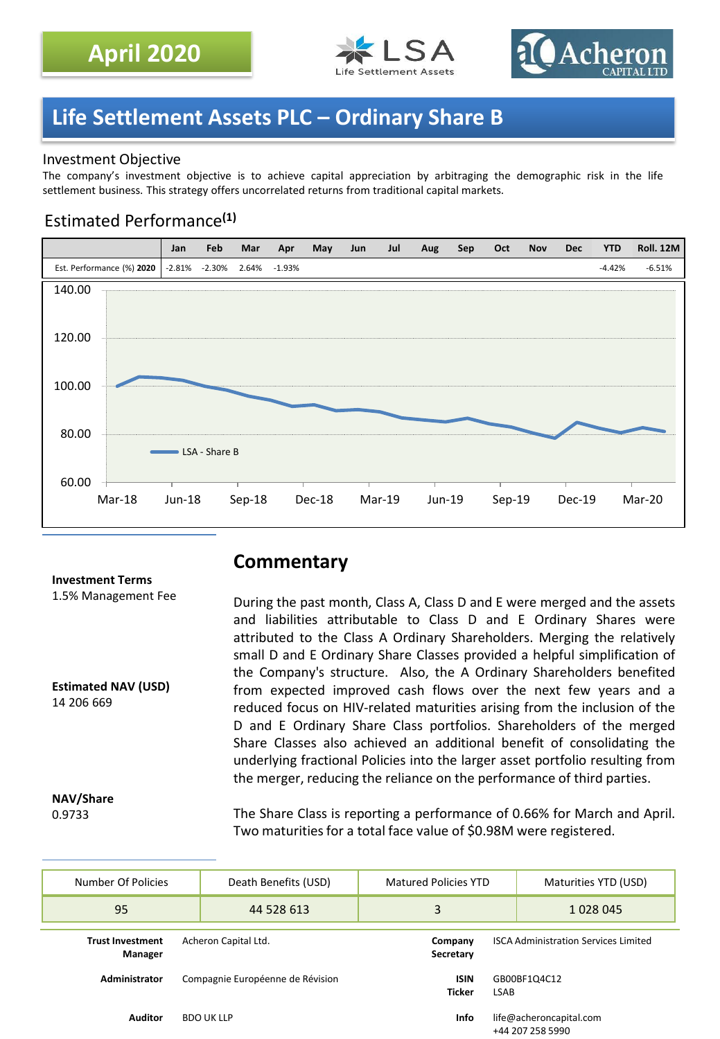



# **Life Settlement Assets PLC – Ordinary Share B**

### Investment Objective

The company's investment objective is to achieve capital appreciation by arbitraging the demographic risk in the life settlement business. This strategy offers uncorrelated returns from traditional capital markets.

## Estimated Performance**(1)**



# **Commentary**

During the past month, Class A, Class D and E were merged and the assets and liabilities attributable to Class D and E Ordinary Shares were attributed to the Class A Ordinary Shareholders. Merging the relatively small D and E Ordinary Share Classes provided a helpful simplification of the Company's structure. Also, the A Ordinary Shareholders benefited from expected improved cash flows over the next few years and a reduced focus on HIV-related maturities arising from the inclusion of the D and E Ordinary Share Class portfolios. Shareholders of the merged Share Classes also achieved an additional benefit of consolidating the underlying fractional Policies into the larger asset portfolio resulting from the merger, reducing the reliance on the performance of third parties.

**NAV/Share** 0.9733

14 206 669

**Investment Terms** 1.5% Management Fee

**Estimated NAV (USD)**

The Share Class is reporting a performance of 0.66% for March and April. Two maturities for a total face value of \$0.98M were registered.

| Number Of Policies                 | Death Benefits (USD)<br><b>Matured Policies YTD</b> |                   |   | Maturities YTD (USD)         |                                             |                                             |
|------------------------------------|-----------------------------------------------------|-------------------|---|------------------------------|---------------------------------------------|---------------------------------------------|
| 95                                 |                                                     | 44 528 613        | 3 |                              |                                             | 1028045                                     |
| <b>Trust Investment</b><br>Manager | Acheron Capital Ltd.                                |                   |   | Company<br>Secretary         | <b>ISCA Administration Services Limited</b> |                                             |
| <b>Administrator</b>               | Compagnie Européenne de Révision                    |                   |   | <b>ISIN</b><br><b>Ticker</b> | GB00BF1Q4C12<br>LSAB                        |                                             |
| <b>Auditor</b>                     |                                                     | <b>BDO UK LLP</b> |   | Info                         |                                             | life@acheroncapital.com<br>+44 207 258 5990 |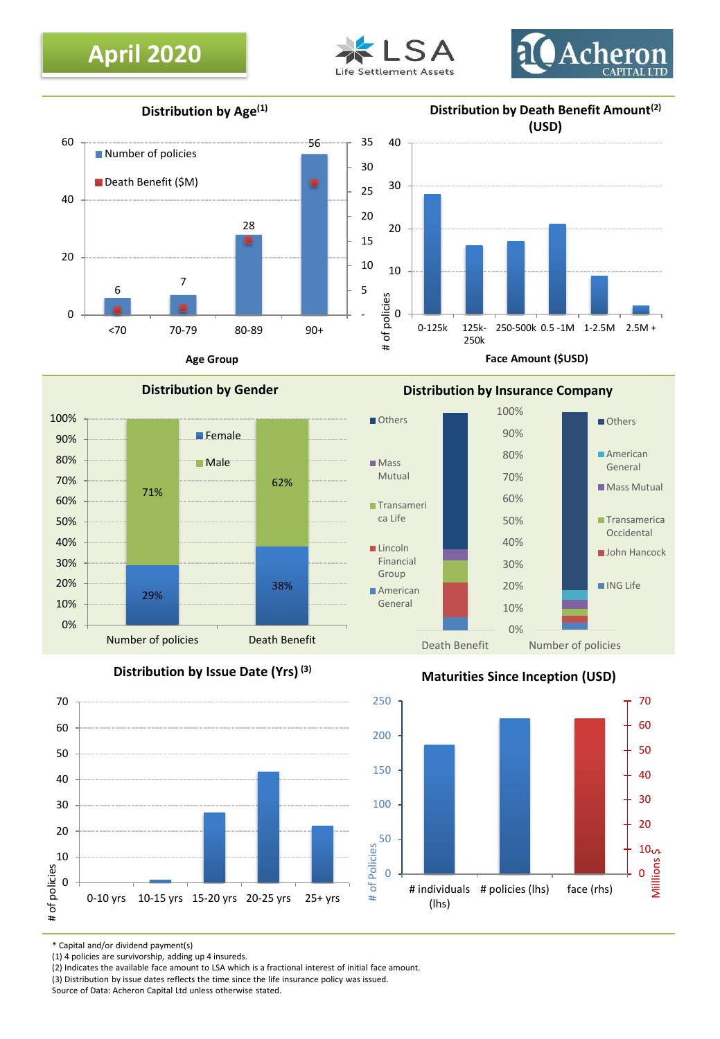# **April 2020**





**Distribution by Age(1)**

#### **Distribution by Death Benefit Amount(2) (USD)**



**Distribution by Gender**

**Female** 

**Male** 



**Face Amount (\$USD)**



**Distribution by Issue Date (Yrs) (3)**

29%

0% 10% 20% 30% 40% 50% 60% 70% 80% 90% 100%

71%



## **Maturities Since Inception (USD)**



\* Capital and/or dividend payment(s)

(1) 4 policies are survivorship, adding up 4 insureds.

(2) Indicates the available face amount to LSA which is a fractional interest of initial face amount.

(3) Distribution by issue dates reflects the time since the life insurance policy was issued.

Source of Data: Acheron Capital Ltd unless otherwise stated.

# **Distribution by Insurance Company**

Number of policies **Death Benefit** 

38%

62%